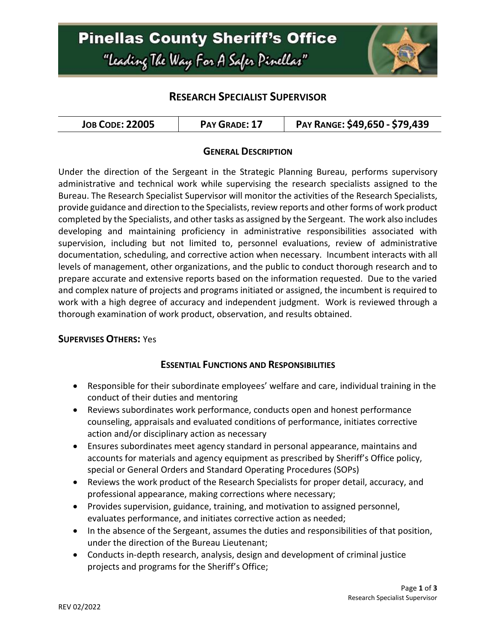

## **RESEARCH SPECIALIST SUPERVISOR**

| <b>JOB CODE: 22005</b><br>PAY GRADE: 17 | PAY RANGE: \$49,650 - \$79,439 |
|-----------------------------------------|--------------------------------|
|-----------------------------------------|--------------------------------|

### **GENERAL DESCRIPTION**

Under the direction of the Sergeant in the Strategic Planning Bureau, performs supervisory administrative and technical work while supervising the research specialists assigned to the Bureau. The Research Specialist Supervisor will monitor the activities of the Research Specialists, provide guidance and direction to the Specialists, review reports and other forms of work product completed by the Specialists, and other tasks as assigned by the Sergeant. The work also includes developing and maintaining proficiency in administrative responsibilities associated with supervision, including but not limited to, personnel evaluations, review of administrative documentation, scheduling, and corrective action when necessary. Incumbent interacts with all levels of management, other organizations, and the public to conduct thorough research and to prepare accurate and extensive reports based on the information requested. Due to the varied and complex nature of projects and programs initiated or assigned, the incumbent is required to work with a high degree of accuracy and independent judgment. Work is reviewed through a thorough examination of work product, observation, and results obtained.

#### **SUPERVISES OTHERS:** Yes

### **ESSENTIAL FUNCTIONS AND RESPONSIBILITIES**

- Responsible for their subordinate employees' welfare and care, individual training in the conduct of their duties and mentoring
- Reviews subordinates work performance, conducts open and honest performance counseling, appraisals and evaluated conditions of performance, initiates corrective action and/or disciplinary action as necessary
- Ensures subordinates meet agency standard in personal appearance, maintains and accounts for materials and agency equipment as prescribed by Sheriff's Office policy, special or General Orders and Standard Operating Procedures (SOPs)
- Reviews the work product of the Research Specialists for proper detail, accuracy, and professional appearance, making corrections where necessary;
- Provides supervision, guidance, training, and motivation to assigned personnel, evaluates performance, and initiates corrective action as needed;
- In the absence of the Sergeant, assumes the duties and responsibilities of that position, under the direction of the Bureau Lieutenant;
- Conducts in-depth research, analysis, design and development of criminal justice projects and programs for the Sheriff's Office;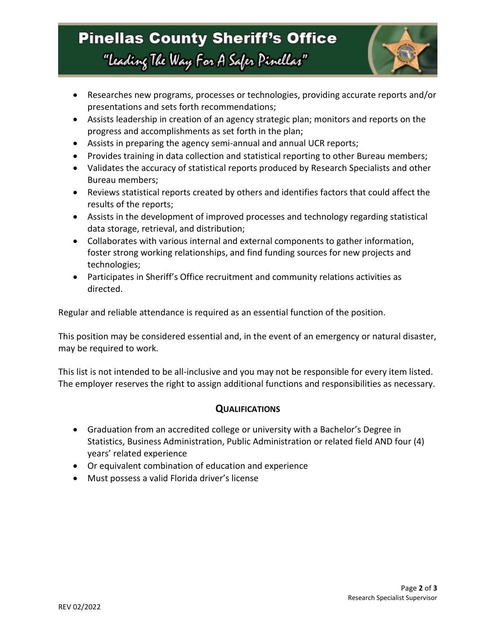# **Pinellas County Sheriff's Office** "Leading The Way For A Safer Pinellar"



- Researches new programs, processes or technologies, providing accurate reports and/or presentations and sets forth recommendations;
- Assists leadership in creation of an agency strategic plan; monitors and reports on the progress and accomplishments as set forth in the plan;
- Assists in preparing the agency semi-annual and annual UCR reports;
- Provides training in data collection and statistical reporting to other Bureau members;
- Validates the accuracy of statistical reports produced by Research Specialists and other Bureau members;
- Reviews statistical reports created by others and identifies factors that could affect the results of the reports;
- Assists in the development of improved processes and technology regarding statistical data storage, retrieval, and distribution;
- Collaborates with various internal and external components to gather information, foster strong working relationships, and find funding sources for new projects and technologies;
- Participates in Sheriff's Office recruitment and community relations activities as directed.

Regular and reliable attendance is required as an essential function of the position.

This position may be considered essential and, in the event of an emergency or natural disaster, may be required to work.

This list is not intended to be all-inclusive and you may not be responsible for every item listed. The employer reserves the right to assign additional functions and responsibilities as necessary.

### **QUALIFICATIONS**

- Graduation from an accredited college or university with a Bachelor's Degree in Statistics, Business Administration, Public Administration or related field AND four (4) years' related experience
- Or equivalent combination of education and experience
- Must possess a valid Florida driver's license